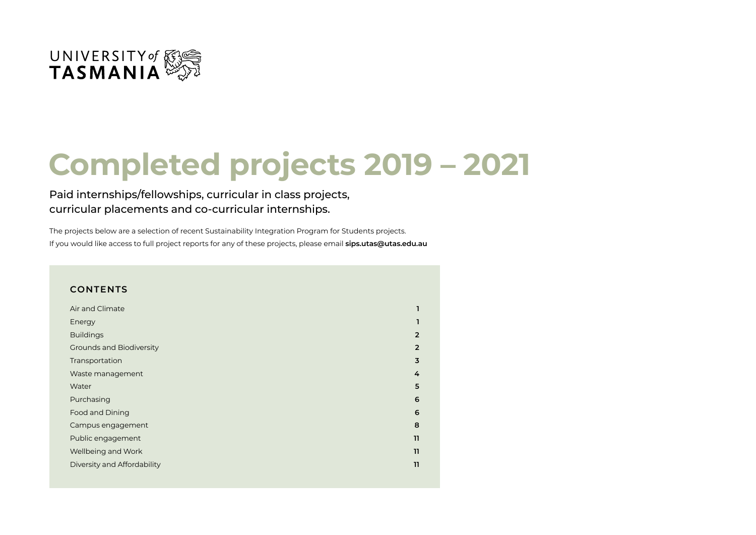

# **Completed projects 2019 – 2021**

#### Paid internships/fellowships, curricular in class projects, curricular placements and co-curricular internships.

The projects below are a selection of recent Sustainability Integration Program for Students projects. If you would like access to full project reports for any of these projects, please email **sips.utas@utas.edu.au**

#### **CONTENTS**

| Air and Climate                 |                         |
|---------------------------------|-------------------------|
| Energy                          |                         |
| <b>Buildings</b>                | $\overline{2}$          |
| <b>Grounds and Biodiversity</b> | $\overline{2}$          |
| Transportation                  | $\overline{\mathbf{3}}$ |
| Waste management                | 4                       |
| Water                           | 5                       |
| Purchasing                      | 6                       |
| Food and Dining                 | 6                       |
| Campus engagement               | 8                       |
| Public engagement               | 11                      |
| Wellbeing and Work              | 11                      |
| Diversity and Affordability     | 11                      |
|                                 |                         |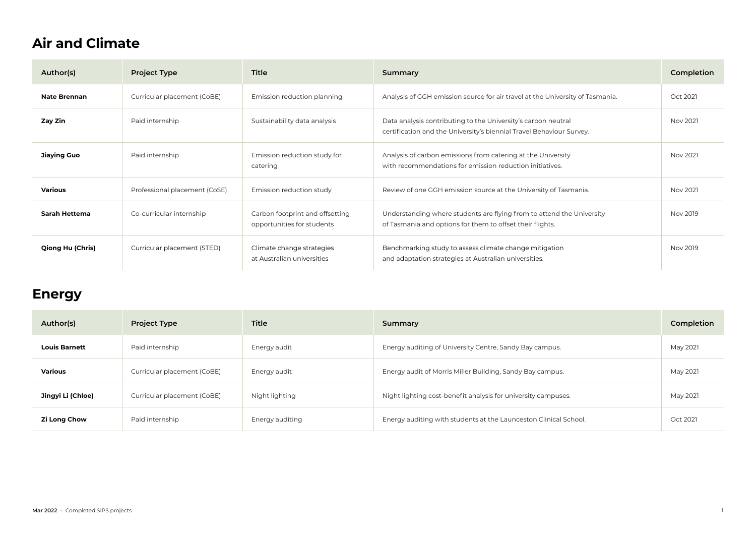### <span id="page-1-0"></span>**Air and Climate**

| Author(s)           | <b>Project Type</b>           | Title                                                         | Summary                                                                                                                               | Completion |
|---------------------|-------------------------------|---------------------------------------------------------------|---------------------------------------------------------------------------------------------------------------------------------------|------------|
| <b>Nate Brennan</b> | Curricular placement (CoBE)   | Emission reduction planning                                   | Analysis of GGH emission source for air travel at the University of Tasmania.                                                         | Oct 2021   |
| Zay Zin             | Paid internship               | Sustainability data analysis                                  | Data analysis contributing to the University's carbon neutral<br>certification and the University's biennial Travel Behaviour Survey. | Nov 2021   |
| <b>Jiaying Guo</b>  | Paid internship               | Emission reduction study for<br>catering                      | Analysis of carbon emissions from catering at the University<br>with recommendations for emission reduction initiatives.              | Nov 2021   |
| Various             | Professional placement (CoSE) | Emission reduction study                                      | Review of one GGH emission source at the University of Tasmania.                                                                      | Nov 2021   |
| Sarah Hettema       | Co-curricular internship      | Carbon footprint and offsetting<br>opportunities for students | Understanding where students are flying from to attend the University<br>of Tasmania and options for them to offset their flights.    | Nov 2019   |
| Qiong Hu (Chris)    | Curricular placement (STED)   | Climate change strategies<br>at Australian universities       | Benchmarking study to assess climate change mitigation<br>and adaptation strategies at Australian universities.                       | Nov 2019   |

#### **Energy**

| Author(s)            | <b>Project Type</b>         | <b>Title</b>    | Summary                                                          | Completion |
|----------------------|-----------------------------|-----------------|------------------------------------------------------------------|------------|
| <b>Louis Barnett</b> | Paid internship             | Energy audit    | Energy auditing of University Centre, Sandy Bay campus.          | May 2021   |
| Various              | Curricular placement (CoBE) | Energy audit    | Energy audit of Morris Miller Building, Sandy Bay campus.        | May 2021   |
| Jingyi Li (Chloe)    | Curricular placement (CoBE) | Night lighting  | Night lighting cost-benefit analysis for university campuses.    | May 2021   |
| <b>Zi Long Chow</b>  | Paid internship             | Energy auditing | Energy auditing with students at the Launceston Clinical School. | Oct 2021   |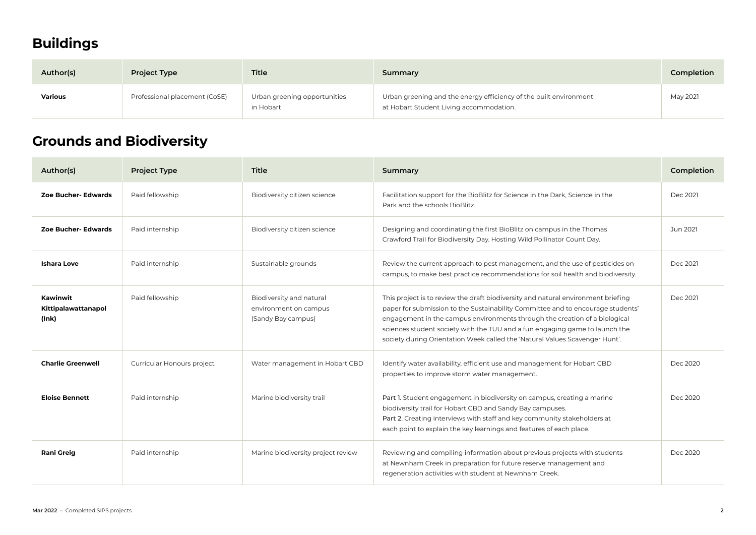## <span id="page-2-0"></span>**Buildings**

| Author(s) | <b>Project Type</b>           | <b>Title</b>                              | Summary                                                                                                      | Completion |
|-----------|-------------------------------|-------------------------------------------|--------------------------------------------------------------------------------------------------------------|------------|
| Various   | Professional placement (CoSE) | Urban greening opportunities<br>in Hobart | Urban greening and the energy efficiency of the built environment<br>at Hobart Student Living accommodation. | May 2021   |

## **Grounds and Biodiversity**

| Author(s)                                | <b>Project Type</b>        | <b>Title</b>                                                            | Summary                                                                                                                                                                                                                                                                                                                                                                                                          | Completion |
|------------------------------------------|----------------------------|-------------------------------------------------------------------------|------------------------------------------------------------------------------------------------------------------------------------------------------------------------------------------------------------------------------------------------------------------------------------------------------------------------------------------------------------------------------------------------------------------|------------|
| Zoe Bucher- Edwards                      | Paid fellowship            | Biodiversity citizen science                                            | Facilitation support for the BioBlitz for Science in the Dark, Science in the<br>Park and the schools BioBlitz.                                                                                                                                                                                                                                                                                                  | Dec 2021   |
| Zoe Bucher- Edwards                      | Paid internship            | Biodiversity citizen science                                            | Designing and coordinating the first BioBlitz on campus in the Thomas<br>Crawford Trail for Biodiversity Day. Hosting Wild Pollinator Count Day.                                                                                                                                                                                                                                                                 | Jun 2021   |
| <b>Ishara Love</b>                       | Paid internship            | Sustainable grounds                                                     | Review the current approach to pest management, and the use of pesticides on<br>campus, to make best practice recommendations for soil health and biodiversity.                                                                                                                                                                                                                                                  | Dec 2021   |
| Kawinwit<br>Kittipalawattanapol<br>(Ink) | Paid fellowship            | Biodiversity and natural<br>environment on campus<br>(Sandy Bay campus) | This project is to review the draft biodiversity and natural environment briefing<br>paper for submission to the Sustainability Committee and to encourage students'<br>engagement in the campus environments through the creation of a biological<br>sciences student society with the TUU and a fun engaging game to launch the<br>society during Orientation Week called the 'Natural Values Scavenger Hunt'. | Dec 2021   |
| <b>Charlie Greenwell</b>                 | Curricular Honours project | Water management in Hobart CBD                                          | Identify water availability, efficient use and management for Hobart CBD<br>properties to improve storm water management.                                                                                                                                                                                                                                                                                        | Dec 2020   |
| <b>Eloise Bennett</b>                    | Paid internship            | Marine biodiversity trail                                               | Part 1. Student engagement in biodiversity on campus, creating a marine<br>biodiversity trail for Hobart CBD and Sandy Bay campuses.<br>Part 2. Creating interviews with staff and key community stakeholders at<br>each point to explain the key learnings and features of each place.                                                                                                                          | Dec 2020   |
| <b>Rani Greig</b>                        | Paid internship            | Marine biodiversity project review                                      | Reviewing and compiling information about previous projects with students<br>at Newnham Creek in preparation for future reserve management and<br>regeneration activities with student at Newnham Creek.                                                                                                                                                                                                         | Dec 2020   |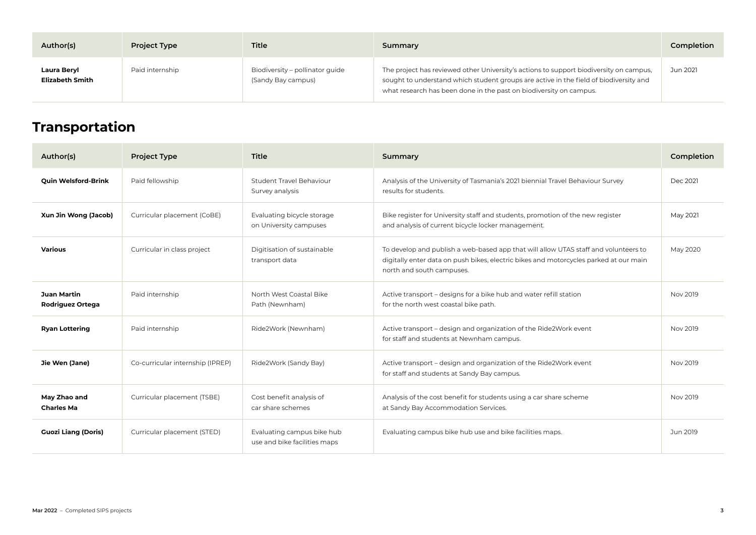<span id="page-3-0"></span>

| Author(s)                      | <b>Project Type</b> | <b>Title</b>                                          | Summary                                                                                                                                                                                                                                               | Completion |
|--------------------------------|---------------------|-------------------------------------------------------|-------------------------------------------------------------------------------------------------------------------------------------------------------------------------------------------------------------------------------------------------------|------------|
| Laura Beryl<br>Elizabeth Smith | Paid internship     | Biodiversity - pollinator guide<br>(Sandy Bay campus) | The project has reviewed other University's actions to support biodiversity on campus,<br>sought to understand which student groups are active in the field of biodiversity and<br>what research has been done in the past on biodiversity on campus. | Jun 2021   |

## **Transportation**

| Author(s)                                     | <b>Project Type</b>              | Title                                                      | Summary                                                                                                                                                                                                   | Completion |
|-----------------------------------------------|----------------------------------|------------------------------------------------------------|-----------------------------------------------------------------------------------------------------------------------------------------------------------------------------------------------------------|------------|
| <b>Quin Welsford-Brink</b>                    | Paid fellowship                  | Student Travel Behaviour<br>Survey analysis                | Analysis of the University of Tasmania's 2021 biennial Travel Behaviour Survey<br>results for students.                                                                                                   | Dec 2021   |
| Xun Jin Wong (Jacob)                          | Curricular placement (CoBE)      | Evaluating bicycle storage<br>on University campuses       | Bike register for University staff and students, promotion of the new register<br>and analysis of current bicycle locker management.                                                                      | May 2021   |
| <b>Various</b>                                | Curricular in class project      | Digitisation of sustainable<br>transport data              | To develop and publish a web-based app that will allow UTAS staff and volunteers to<br>digitally enter data on push bikes, electric bikes and motorcycles parked at our main<br>north and south campuses. | May 2020   |
| <b>Juan Martin</b><br><b>Rodriguez Ortega</b> | Paid internship                  | North West Coastal Bike<br>Path (Newnham)                  | Active transport - designs for a bike hub and water refill station<br>for the north west coastal bike path.                                                                                               | Nov 2019   |
| <b>Ryan Lottering</b>                         | Paid internship                  | Ride2Work (Newnham)                                        | Active transport – design and organization of the Ride2Work event<br>for staff and students at Newnham campus.                                                                                            | Nov 2019   |
| Jie Wen (Jane)                                | Co-curricular internship (IPREP) | Ride2Work (Sandy Bay)                                      | Active transport - design and organization of the Ride2Work event<br>for staff and students at Sandy Bay campus.                                                                                          | Nov 2019   |
| May Zhao and<br><b>Charles Ma</b>             | Curricular placement (TSBE)      | Cost benefit analysis of<br>car share schemes              | Analysis of the cost benefit for students using a car share scheme<br>at Sandy Bay Accommodation Services.                                                                                                | Nov 2019   |
| <b>Guozi Liang (Doris)</b>                    | Curricular placement (STED)      | Evaluating campus bike hub<br>use and bike facilities maps | Evaluating campus bike hub use and bike facilities maps.                                                                                                                                                  | Jun 2019   |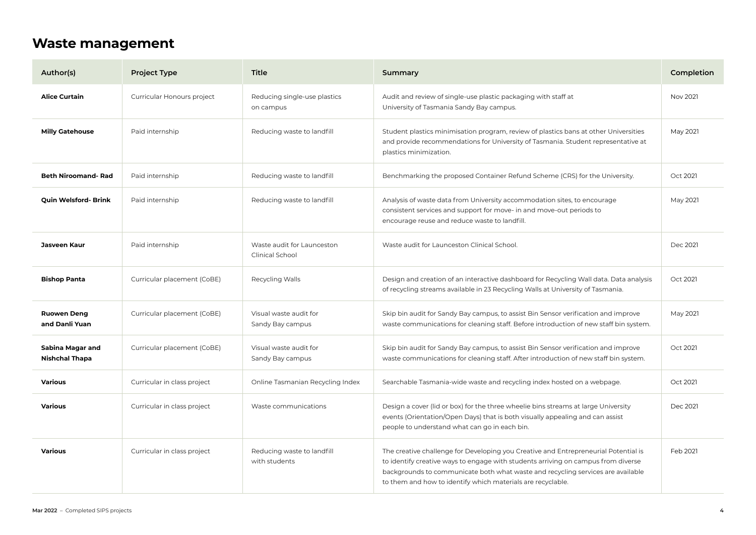#### <span id="page-4-0"></span>**Waste management**

| Author(s)                                 | <b>Project Type</b>         | <b>Title</b>                                  | Summary                                                                                                                                                                                                                                                                                                                    | Completion |
|-------------------------------------------|-----------------------------|-----------------------------------------------|----------------------------------------------------------------------------------------------------------------------------------------------------------------------------------------------------------------------------------------------------------------------------------------------------------------------------|------------|
| <b>Alice Curtain</b>                      | Curricular Honours project  | Reducing single-use plastics<br>on campus     | Audit and review of single-use plastic packaging with staff at<br>University of Tasmania Sandy Bay campus.                                                                                                                                                                                                                 | Nov 2021   |
| <b>Milly Gatehouse</b>                    | Paid internship             | Reducing waste to landfill                    | Student plastics minimisation program, review of plastics bans at other Universities<br>and provide recommendations for University of Tasmania. Student representative at<br>plastics minimization.                                                                                                                        | May 2021   |
| <b>Beth Niroomand- Rad</b>                | Paid internship             | Reducing waste to landfill                    | Benchmarking the proposed Container Refund Scheme (CRS) for the University.                                                                                                                                                                                                                                                | Oct 2021   |
| Quin Welsford- Brink                      | Paid internship             | Reducing waste to landfill                    | Analysis of waste data from University accommodation sites, to encourage<br>consistent services and support for move- in and move-out periods to<br>encourage reuse and reduce waste to landfill.                                                                                                                          | May 2021   |
| Jasveen Kaur                              | Paid internship             | Waste audit for Launceston<br>Clinical School | Waste audit for Launceston Clinical School.                                                                                                                                                                                                                                                                                | Dec 2021   |
| <b>Bishop Panta</b>                       | Curricular placement (CoBE) | Recycling Walls                               | Design and creation of an interactive dashboard for Recycling Wall data. Data analysis<br>of recycling streams available in 23 Recycling Walls at University of Tasmania.                                                                                                                                                  | Oct 2021   |
| <b>Ruowen Deng</b><br>and Danli Yuan      | Curricular placement (CoBE) | Visual waste audit for<br>Sandy Bay campus    | Skip bin audit for Sandy Bay campus, to assist Bin Sensor verification and improve<br>waste communications for cleaning staff. Before introduction of new staff bin system.                                                                                                                                                | May 2021   |
| Sabina Magar and<br><b>Nishchal Thapa</b> | Curricular placement (CoBE) | Visual waste audit for<br>Sandy Bay campus    | Skip bin audit for Sandy Bay campus, to assist Bin Sensor verification and improve<br>waste communications for cleaning staff. After introduction of new staff bin system.                                                                                                                                                 | Oct 2021   |
| Various                                   | Curricular in class project | Online Tasmanian Recycling Index              | Searchable Tasmania-wide waste and recycling index hosted on a webpage.                                                                                                                                                                                                                                                    | Oct 2021   |
| Various                                   | Curricular in class project | Waste communications                          | Design a cover (lid or box) for the three wheelie bins streams at large University<br>events (Orientation/Open Days) that is both visually appealing and can assist<br>people to understand what can go in each bin.                                                                                                       | Dec 2021   |
| Various                                   | Curricular in class project | Reducing waste to landfill<br>with students   | The creative challenge for Developing you Creative and Entrepreneurial Potential is<br>to identify creative ways to engage with students arriving on campus from diverse<br>backgrounds to communicate both what waste and recycling services are available<br>to them and how to identify which materials are recyclable. | Feb 2021   |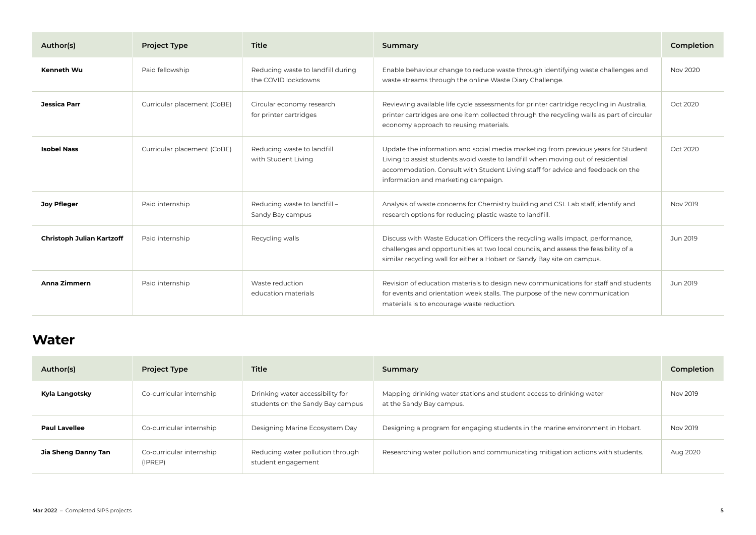<span id="page-5-0"></span>

| Author(s)                 | <b>Project Type</b>         | <b>Title</b>                                             | Summary                                                                                                                                                                                                                                                                                         | Completion |
|---------------------------|-----------------------------|----------------------------------------------------------|-------------------------------------------------------------------------------------------------------------------------------------------------------------------------------------------------------------------------------------------------------------------------------------------------|------------|
| <b>Kenneth Wu</b>         | Paid fellowship             | Reducing waste to landfill during<br>the COVID lockdowns | Enable behaviour change to reduce waste through identifying waste challenges and<br>waste streams through the online Waste Diary Challenge.                                                                                                                                                     | Nov 2020   |
| Jessica Parr              | Curricular placement (CoBE) | Circular economy research<br>for printer cartridges      | Reviewing available life cycle assessments for printer cartridge recycling in Australia,<br>printer cartridges are one item collected through the recycling walls as part of circular<br>economy approach to reusing materials.                                                                 | Oct 2020   |
| <b>Isobel Nass</b>        | Curricular placement (CoBE) | Reducing waste to landfill<br>with Student Living        | Update the information and social media marketing from previous years for Student<br>Living to assist students avoid waste to landfill when moving out of residential<br>accommodation. Consult with Student Living staff for advice and feedback on the<br>information and marketing campaign. | Oct 2020   |
| <b>Joy Pfleger</b>        | Paid internship             | Reducing waste to landfill -<br>Sandy Bay campus         | Analysis of waste concerns for Chemistry building and CSL Lab staff, identify and<br>research options for reducing plastic waste to landfill.                                                                                                                                                   | Nov 2019   |
| Christoph Julian Kartzoff | Paid internship             | Recycling walls                                          | Discuss with Waste Education Officers the recycling walls impact, performance,<br>challenges and opportunities at two local councils, and assess the feasibility of a<br>similar recycling wall for either a Hobart or Sandy Bay site on campus.                                                | Jun 2019   |
| Anna Zimmern              | Paid internship             | Waste reduction<br>education materials                   | Revision of education materials to design new communications for staff and students<br>for events and orientation week stalls. The purpose of the new communication<br>materials is to encourage waste reduction.                                                                               | Jun 2019   |

#### **Water**

| Author(s)            | <b>Project Type</b>                 | Title                                                                | Summary                                                                                          | Completion |
|----------------------|-------------------------------------|----------------------------------------------------------------------|--------------------------------------------------------------------------------------------------|------------|
| Kyla Langotsky       | Co-curricular internship            | Drinking water accessibility for<br>students on the Sandy Bay campus | Mapping drinking water stations and student access to drinking water<br>at the Sandy Bay campus. | Nov 2019   |
| <b>Paul Lavellee</b> | Co-curricular internship            | Designing Marine Ecosystem Day                                       | Designing a program for engaging students in the marine environment in Hobart.                   | Nov 2019   |
| Jia Sheng Danny Tan  | Co-curricular internship<br>(IPREP) | Reducing water pollution through<br>student engagement               | Researching water pollution and communicating mitigation actions with students.                  | Aug 2020   |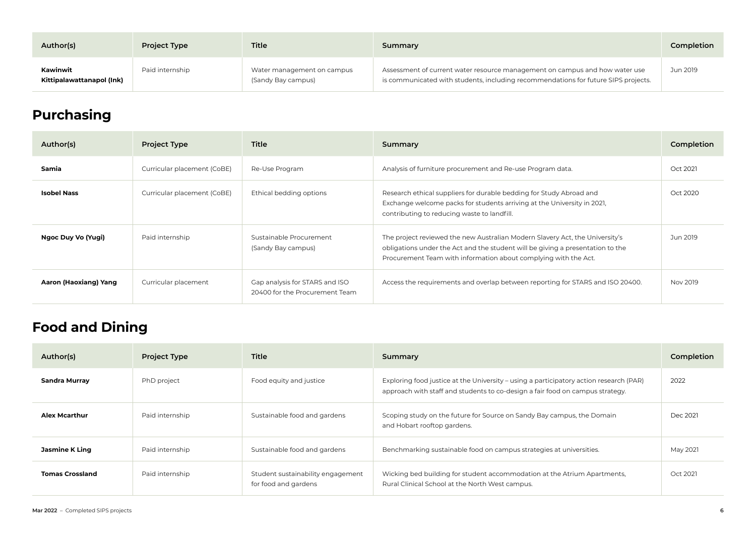<span id="page-6-0"></span>

| Author(s)                             | <b>Project Type</b> | <b>Title</b>                                     | Summary                                                                                                                                                           | Completion |
|---------------------------------------|---------------------|--------------------------------------------------|-------------------------------------------------------------------------------------------------------------------------------------------------------------------|------------|
| Kawinwit<br>Kittipalawattanapol (Ink) | Paid internship     | Water management on campus<br>(Sandy Bay campus) | Assessment of current water resource management on campus and how water use<br>is communicated with students, including recommendations for future SIPS projects. | Jun 2019   |

## **Purchasing**

| Author(s)             | <b>Project Type</b>         | Title                                                            | Summary                                                                                                                                                                                                                           | Completion |
|-----------------------|-----------------------------|------------------------------------------------------------------|-----------------------------------------------------------------------------------------------------------------------------------------------------------------------------------------------------------------------------------|------------|
| Samia                 | Curricular placement (CoBE) | Re-Use Program                                                   | Analysis of furniture procurement and Re-use Program data.                                                                                                                                                                        | Oct 2021   |
| <b>Isobel Nass</b>    | Curricular placement (CoBE) | Ethical bedding options                                          | Research ethical suppliers for durable bedding for Study Abroad and<br>Exchange welcome packs for students arriving at the University in 2021,<br>contributing to reducing waste to landfill.                                     | Oct 2020   |
| Ngoc Duy Vo (Yugi)    | Paid internship             | Sustainable Procurement<br>(Sandy Bay campus)                    | The project reviewed the new Australian Modern Slavery Act, the University's<br>obligations under the Act and the student will be giving a presentation to the<br>Procurement Team with information about complying with the Act. | Jun 2019   |
| Aaron (Haoxiang) Yang | Curricular placement        | Gap analysis for STARS and ISO<br>20400 for the Procurement Team | Access the requirements and overlap between reporting for STARS and ISO 20400.                                                                                                                                                    | Nov 2019   |

## **Food and Dining**

| Author(s)              | <b>Project Type</b> | Title                                                     | Summary                                                                                                                                                                 | Completion |
|------------------------|---------------------|-----------------------------------------------------------|-------------------------------------------------------------------------------------------------------------------------------------------------------------------------|------------|
| Sandra Murray          | PhD project         | Food equity and justice                                   | Exploring food justice at the University – using a participatory action research (PAR)<br>approach with staff and students to co-design a fair food on campus strategy. | 2022       |
| <b>Alex Mcarthur</b>   | Paid internship     | Sustainable food and gardens                              | Scoping study on the future for Source on Sandy Bay campus, the Domain<br>and Hobart rooftop gardens.                                                                   | Dec 2021   |
| Jasmine K Ling         | Paid internship     | Sustainable food and gardens                              | Benchmarking sustainable food on campus strategies at universities.                                                                                                     | May 2021   |
| <b>Tomas Crossland</b> | Paid internship     | Student sustainability engagement<br>for food and gardens | Wicking bed building for student accommodation at the Atrium Apartments,<br>Rural Clinical School at the North West campus.                                             | Oct 2021   |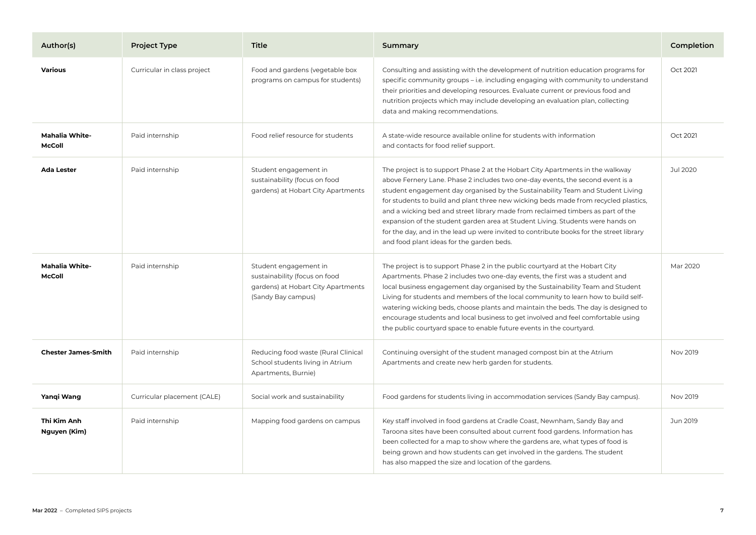| Author(s)                              | <b>Project Type</b>         | Title                                                                                                              | Summary                                                                                                                                                                                                                                                                                                                                                                                                                                                                                                                                                                                                                                                | Completion |
|----------------------------------------|-----------------------------|--------------------------------------------------------------------------------------------------------------------|--------------------------------------------------------------------------------------------------------------------------------------------------------------------------------------------------------------------------------------------------------------------------------------------------------------------------------------------------------------------------------------------------------------------------------------------------------------------------------------------------------------------------------------------------------------------------------------------------------------------------------------------------------|------------|
| <b>Various</b>                         | Curricular in class project | Food and gardens (vegetable box<br>programs on campus for students)                                                | Consulting and assisting with the development of nutrition education programs for<br>specific community groups - i.e. including engaging with community to understand<br>their priorities and developing resources. Evaluate current or previous food and<br>nutrition projects which may include developing an evaluation plan, collecting<br>data and making recommendations.                                                                                                                                                                                                                                                                        | Oct 2021   |
| <b>Mahalia White-</b><br><b>McColl</b> | Paid internship             | Food relief resource for students                                                                                  | A state-wide resource available online for students with information<br>and contacts for food relief support.                                                                                                                                                                                                                                                                                                                                                                                                                                                                                                                                          | Oct 2021   |
| <b>Ada Lester</b>                      | Paid internship             | Student engagement in<br>sustainability (focus on food<br>gardens) at Hobart City Apartments                       | The project is to support Phase 2 at the Hobart City Apartments in the walkway<br>above Fernery Lane. Phase 2 includes two one-day events, the second event is a<br>student engagement day organised by the Sustainability Team and Student Living<br>for students to build and plant three new wicking beds made from recycled plastics,<br>and a wicking bed and street library made from reclaimed timbers as part of the<br>expansion of the student garden area at Student Living. Students were hands on<br>for the day, and in the lead up were invited to contribute books for the street library<br>and food plant ideas for the garden beds. | Jul 2020   |
| <b>Mahalia White-</b><br><b>McColl</b> | Paid internship             | Student engagement in<br>sustainability (focus on food<br>gardens) at Hobart City Apartments<br>(Sandy Bay campus) | The project is to support Phase 2 in the public courtyard at the Hobart City<br>Apartments. Phase 2 includes two one-day events, the first was a student and<br>local business engagement day organised by the Sustainability Team and Student<br>Living for students and members of the local community to learn how to build self-<br>watering wicking beds, choose plants and maintain the beds. The day is designed to<br>encourage students and local business to get involved and feel comfortable using<br>the public courtyard space to enable future events in the courtyard.                                                                 | Mar 2020   |
| <b>Chester James-Smith</b>             | Paid internship             | Reducing food waste (Rural Clinical<br>School students living in Atrium<br>Apartments, Burnie)                     | Continuing oversight of the student managed compost bin at the Atrium<br>Apartments and create new herb garden for students.                                                                                                                                                                                                                                                                                                                                                                                                                                                                                                                           | Nov 2019   |
| Yangi Wang                             | Curricular placement (CALE) | Social work and sustainability                                                                                     | Food gardens for students living in accommodation services (Sandy Bay campus).                                                                                                                                                                                                                                                                                                                                                                                                                                                                                                                                                                         | Nov 2019   |
| Thi Kim Anh<br>Nguyen (Kim)            | Paid internship             | Mapping food gardens on campus                                                                                     | Key staff involved in food gardens at Cradle Coast, Newnham, Sandy Bay and<br>Taroona sites have been consulted about current food gardens. Information has<br>been collected for a map to show where the gardens are, what types of food is<br>being grown and how students can get involved in the gardens. The student<br>has also mapped the size and location of the gardens.                                                                                                                                                                                                                                                                     | Jun 2019   |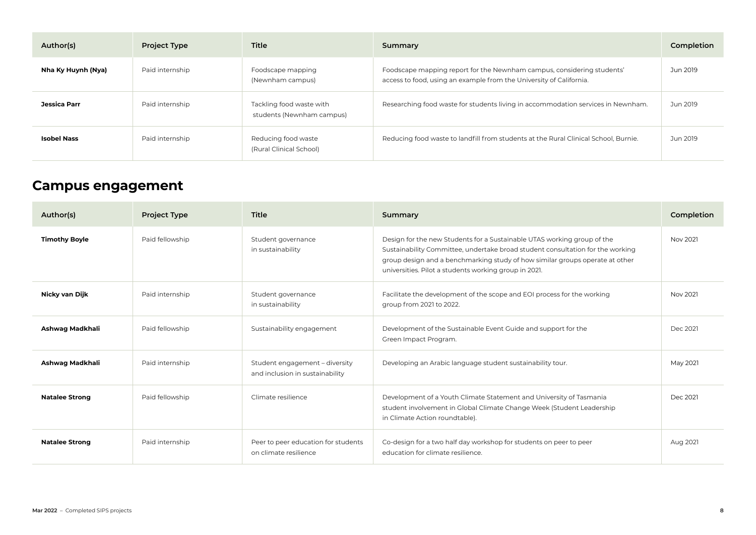<span id="page-8-0"></span>

| Author(s)          | <b>Project Type</b> | Title                                                 | Summary                                                                                                                                       | Completion |
|--------------------|---------------------|-------------------------------------------------------|-----------------------------------------------------------------------------------------------------------------------------------------------|------------|
| Nha Ky Huynh (Nya) | Paid internship     | Foodscape mapping<br>(Newnham campus)                 | Foodscape mapping report for the Newnham campus, considering students'<br>access to food, using an example from the University of California. | Jun 2019   |
| Jessica Parr       | Paid internship     | Tackling food waste with<br>students (Newnham campus) | Researching food waste for students living in accommodation services in Newnham.                                                              | Jun 2019   |
| <b>Isobel Nass</b> | Paid internship     | Reducing food waste<br>(Rural Clinical School)        | Reducing food waste to landfill from students at the Rural Clinical School, Burnie.                                                           | Jun 2019   |

### **Campus engagement**

| Author(s)             | <b>Project Type</b> | Title                                                             | Summary                                                                                                                                                                                                                                                                                            | Completion |
|-----------------------|---------------------|-------------------------------------------------------------------|----------------------------------------------------------------------------------------------------------------------------------------------------------------------------------------------------------------------------------------------------------------------------------------------------|------------|
| <b>Timothy Boyle</b>  | Paid fellowship     | Student governance<br>in sustainability                           | Design for the new Students for a Sustainable UTAS working group of the<br>Sustainability Committee, undertake broad student consultation for the working<br>group design and a benchmarking study of how similar groups operate at other<br>universities. Pilot a students working group in 2021. | Nov 2021   |
| Nicky van Dijk        | Paid internship     | Student governance<br>in sustainability                           | Facilitate the development of the scope and EOI process for the working<br>group from 2021 to 2022.                                                                                                                                                                                                | Nov 2021   |
| Ashwag Madkhali       | Paid fellowship     | Sustainability engagement                                         | Development of the Sustainable Event Guide and support for the<br>Green Impact Program.                                                                                                                                                                                                            | Dec 2021   |
| Ashwag Madkhali       | Paid internship     | Student engagement - diversity<br>and inclusion in sustainability | Developing an Arabic language student sustainability tour.                                                                                                                                                                                                                                         | May 2021   |
| <b>Natalee Strong</b> | Paid fellowship     | Climate resilience                                                | Development of a Youth Climate Statement and University of Tasmania<br>student involvement in Global Climate Change Week (Student Leadership<br>in Climate Action roundtable).                                                                                                                     | Dec 2021   |
| <b>Natalee Strong</b> | Paid internship     | Peer to peer education for students<br>on climate resilience      | Co-design for a two half day workshop for students on peer to peer<br>education for climate resilience.                                                                                                                                                                                            | Aug 2021   |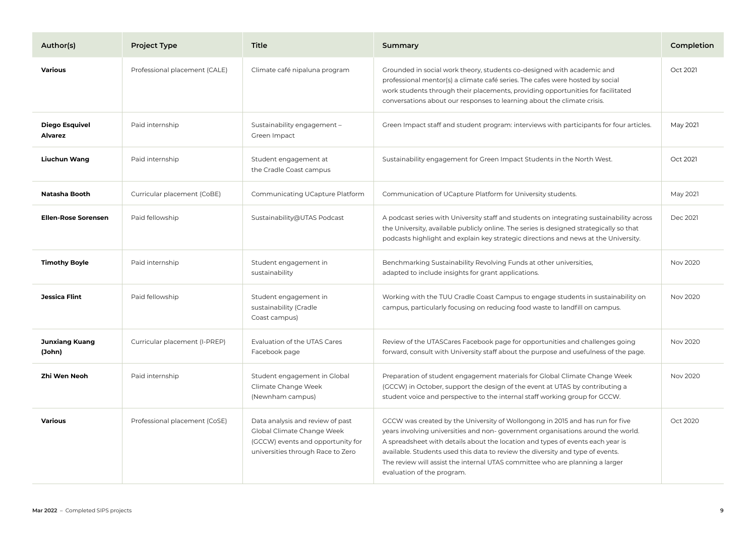| Author(s)                        | <b>Project Type</b>           | Title                                                                                                                                    | Summary                                                                                                                                                                                                                                                                                                                                                                                                                                            | Completion |
|----------------------------------|-------------------------------|------------------------------------------------------------------------------------------------------------------------------------------|----------------------------------------------------------------------------------------------------------------------------------------------------------------------------------------------------------------------------------------------------------------------------------------------------------------------------------------------------------------------------------------------------------------------------------------------------|------------|
| <b>Various</b>                   | Professional placement (CALE) | Climate café nipaluna program                                                                                                            | Grounded in social work theory, students co-designed with academic and<br>professional mentor(s) a climate café series. The cafes were hosted by social<br>work students through their placements, providing opportunities for facilitated<br>conversations about our responses to learning about the climate crisis.                                                                                                                              | Oct 2021   |
| <b>Diego Esquivel</b><br>Alvarez | Paid internship               | Sustainability engagement -<br>Green Impact                                                                                              | Green Impact staff and student program: interviews with participants for four articles.                                                                                                                                                                                                                                                                                                                                                            | May 2021   |
| Liuchun Wang                     | Paid internship               | Student engagement at<br>the Cradle Coast campus                                                                                         | Sustainability engagement for Green Impact Students in the North West.                                                                                                                                                                                                                                                                                                                                                                             | Oct 2021   |
| Natasha Booth                    | Curricular placement (CoBE)   | Communicating UCapture Platform                                                                                                          | Communication of UCapture Platform for University students.                                                                                                                                                                                                                                                                                                                                                                                        | May 2021   |
| <b>Ellen-Rose Sorensen</b>       | Paid fellowship               | Sustainability@UTAS Podcast                                                                                                              | A podcast series with University staff and students on integrating sustainability across<br>the University, available publicly online. The series is designed strategically so that<br>podcasts highlight and explain key strategic directions and news at the University.                                                                                                                                                                         | Dec 2021   |
| <b>Timothy Boyle</b>             | Paid internship               | Student engagement in<br>sustainability                                                                                                  | Benchmarking Sustainability Revolving Funds at other universities,<br>adapted to include insights for grant applications.                                                                                                                                                                                                                                                                                                                          | Nov 2020   |
| Jessica Flint                    | Paid fellowship               | Student engagement in<br>sustainability (Cradle<br>Coast campus)                                                                         | Working with the TUU Cradle Coast Campus to engage students in sustainability on<br>campus, particularly focusing on reducing food waste to landfill on campus.                                                                                                                                                                                                                                                                                    | Nov 2020   |
| <b>Junxiang Kuang</b><br>(John)  | Curricular placement (I-PREP) | Evaluation of the UTAS Cares<br>Facebook page                                                                                            | Review of the UTASCares Facebook page for opportunities and challenges going<br>forward, consult with University staff about the purpose and usefulness of the page.                                                                                                                                                                                                                                                                               | Nov 2020   |
| Zhi Wen Neoh                     | Paid internship               | Student engagement in Global<br>Climate Change Week<br>(Newnham campus)                                                                  | Preparation of student engagement materials for Global Climate Change Week<br>(GCCW) in October, support the design of the event at UTAS by contributing a<br>student voice and perspective to the internal staff working group for GCCW.                                                                                                                                                                                                          | Nov 2020   |
| <b>Various</b>                   | Professional placement (CoSE) | Data analysis and review of past<br>Global Climate Change Week<br>(GCCW) events and opportunity for<br>universities through Race to Zero | GCCW was created by the University of Wollongong in 2015 and has run for five<br>years involving universities and non-government organisations around the world.<br>A spreadsheet with details about the location and types of events each year is<br>available. Students used this data to review the diversity and type of events.<br>The review will assist the internal UTAS committee who are planning a larger<br>evaluation of the program. | Oct 2020   |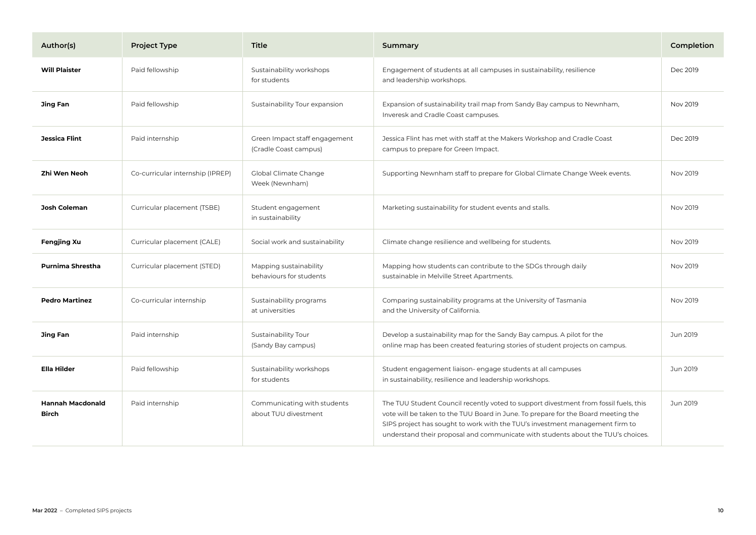| Author(s)                               | <b>Project Type</b>              | <b>Title</b>                                           | Summary                                                                                                                                                                                                                                                                                                                                       | Completion |
|-----------------------------------------|----------------------------------|--------------------------------------------------------|-----------------------------------------------------------------------------------------------------------------------------------------------------------------------------------------------------------------------------------------------------------------------------------------------------------------------------------------------|------------|
| <b>Will Plaister</b>                    | Paid fellowship                  | Sustainability workshops<br>for students               | Engagement of students at all campuses in sustainability, resilience<br>and leadership workshops.                                                                                                                                                                                                                                             | Dec 2019   |
| <b>Jing Fan</b>                         | Paid fellowship                  | Sustainability Tour expansion                          | Expansion of sustainability trail map from Sandy Bay campus to Newnham,<br>Inveresk and Cradle Coast campuses.                                                                                                                                                                                                                                | Nov 2019   |
| Jessica Flint                           | Paid internship                  | Green Impact staff engagement<br>(Cradle Coast campus) | Jessica Flint has met with staff at the Makers Workshop and Cradle Coast<br>campus to prepare for Green Impact.                                                                                                                                                                                                                               | Dec 2019   |
| Zhi Wen Neoh                            | Co-curricular internship (IPREP) | Global Climate Change<br>Week (Newnham)                | Supporting Newnham staff to prepare for Global Climate Change Week events.                                                                                                                                                                                                                                                                    | Nov 2019   |
| <b>Josh Coleman</b>                     | Curricular placement (TSBE)      | Student engagement<br>in sustainability                | Marketing sustainability for student events and stalls.                                                                                                                                                                                                                                                                                       | Nov 2019   |
| <b>Fengjing Xu</b>                      | Curricular placement (CALE)      | Social work and sustainability                         | Climate change resilience and wellbeing for students.                                                                                                                                                                                                                                                                                         | Nov 2019   |
| Purnima Shrestha                        | Curricular placement (STED)      | Mapping sustainability<br>behaviours for students      | Mapping how students can contribute to the SDGs through daily<br>sustainable in Melville Street Apartments.                                                                                                                                                                                                                                   | Nov 2019   |
| <b>Pedro Martinez</b>                   | Co-curricular internship         | Sustainability programs<br>at universities             | Comparing sustainability programs at the University of Tasmania<br>and the University of California.                                                                                                                                                                                                                                          | Nov 2019   |
| Jing Fan                                | Paid internship                  | Sustainability Tour<br>(Sandy Bay campus)              | Develop a sustainability map for the Sandy Bay campus. A pilot for the<br>online map has been created featuring stories of student projects on campus.                                                                                                                                                                                        | Jun 2019   |
| <b>Ella Hilder</b>                      | Paid fellowship                  | Sustainability workshops<br>for students               | Student engagement liaison- engage students at all campuses<br>in sustainability, resilience and leadership workshops.                                                                                                                                                                                                                        | Jun 2019   |
| <b>Hannah Macdonald</b><br><b>Birch</b> | Paid internship                  | Communicating with students<br>about TUU divestment    | The TUU Student Council recently voted to support divestment from fossil fuels, this<br>vote will be taken to the TUU Board in June. To prepare for the Board meeting the<br>SIPS project has sought to work with the TUU's investment management firm to<br>understand their proposal and communicate with students about the TUU's choices. | Jun 2019   |